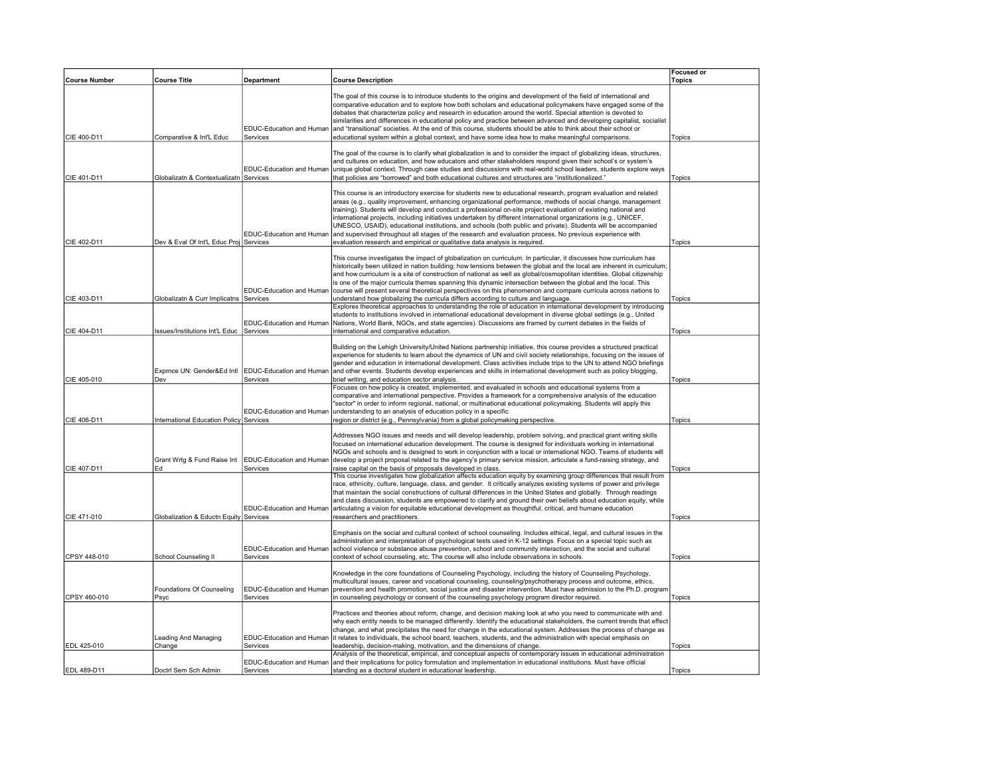|                      |                                           |                                                                                               |                                                                                                                                                                                                                                                                                                                                                                                                                                                                                                                                                                                                                                                                                                                                                                                                                                                                                                                                                             | <b>Focused or</b> |
|----------------------|-------------------------------------------|-----------------------------------------------------------------------------------------------|-------------------------------------------------------------------------------------------------------------------------------------------------------------------------------------------------------------------------------------------------------------------------------------------------------------------------------------------------------------------------------------------------------------------------------------------------------------------------------------------------------------------------------------------------------------------------------------------------------------------------------------------------------------------------------------------------------------------------------------------------------------------------------------------------------------------------------------------------------------------------------------------------------------------------------------------------------------|-------------------|
| <b>Course Number</b> | <b>Course Title</b>                       | Department                                                                                    | <b>Course Description</b>                                                                                                                                                                                                                                                                                                                                                                                                                                                                                                                                                                                                                                                                                                                                                                                                                                                                                                                                   | Topics            |
| CIE 400-D11          | Comparative & Int'L Educ                  | EDUC-Education and Human<br>Services                                                          | The goal of this course is to introduce students to the origins and development of the field of international and<br>comparative education and to explore how both scholars and educational policymakers have engaged some of the<br>debates that characterize policy and research in education around the world. Special attention is devoted to<br>similarities and differences in educational policy and practice between advanced and developing capitalist, socialist<br>and "transitional" societies. At the end of this course, students should be able to think about their school or<br>educational system within a global context, and have some idea how to make meaningful comparisons.                                                                                                                                                                                                                                                         | Topics            |
|                      |                                           |                                                                                               |                                                                                                                                                                                                                                                                                                                                                                                                                                                                                                                                                                                                                                                                                                                                                                                                                                                                                                                                                             |                   |
| CIE 401-D11          | Globalizatn & Contextualizatn Services    | EDUC-Education and Human                                                                      | The goal of the course is to clarify what globalization is and to consider the impact of globalizing ideas, structures,<br>and cultures on education, and how educators and other stakeholders respond given their school's or system's<br>unique global context. Through case studies and discussions with real-world school leaders, students explore ways<br>that policies are "borrowed" and both educational cultures and structures are "institutionalized."                                                                                                                                                                                                                                                                                                                                                                                                                                                                                          | Topics            |
| CIE 402-D11          | Dev & Eval Of Int'L Educ Proj Services    | EDUC-Education and Human                                                                      | This course is an introductory exercise for students new to educational research, program evaluation and related<br>areas (e.g., quality improvement, enhancing organizational performance, methods of social change, management<br>training). Students will develop and conduct a professional on-site project evaluation of existing national and<br>international projects, including initiatives undertaken by different international organizations (e.g., UNICEF,<br>UNESCO, USAID), educational institutions, and schools (both public and private). Students will be accompanied<br>and supervised throughout all stages of the research and evaluation process. No previous experience with<br>evaluation research and empirical or qualitative data analysis is required.                                                                                                                                                                         | Topics            |
|                      |                                           |                                                                                               | This course investigates the impact of globalization on curriculum. In particular, it discusses how curriculum has<br>historically been utilized in nation building; how tensions between the global and the local are inherent in curriculum;<br>and how curriculum is a site of construction of national as well as global/cosmopolitan identities. Global citizenship<br>is one of the major curricula themes spanning this dynamic intersection between the global and the local. This<br>EDUC-Education and Human   course will present several theoretical perspectives on this phenomenon and compare curricula across nations to                                                                                                                                                                                                                                                                                                                    |                   |
| CIE 403-D11          | Globalizatn & Curr Implicatns Services    |                                                                                               | understand how globalizing the curricula differs according to culture and language.                                                                                                                                                                                                                                                                                                                                                                                                                                                                                                                                                                                                                                                                                                                                                                                                                                                                         | Topics            |
| CIE 404-D11          | Issues/Institutions Int'L Educ   Services | EDUC-Education and Human                                                                      | Explores theoretical approaches to understanding the role of education in international development by introducing<br>students to institutions involved in international educational development in diverse global settings (e.g., United<br>Nations, World Bank, NGOs, and state agencies). Discussions are framed by current debates in the fields of<br>international and comparative education.                                                                                                                                                                                                                                                                                                                                                                                                                                                                                                                                                         | Topics            |
| CIE 405-010          | Dev                                       | Exprnce UN: Gender&Ed Intl   EDUC-Education and Human<br>Services<br>EDUC-Education and Human | Building on the Lehigh University/United Nations partnership initiative, this course provides a structured practical<br>experience for students to learn about the dynamics of UN and civil society relationships, focusing on the issues of<br>gender and education in international development. Class activities include trips to the UN to attend NGO briefings<br>and other events. Students develop experiences and skills in international development such as policy blogging,<br>brief writing, and education sector analysis.<br>Focuses on how policy is created, implemented, and evaluated in schools and educational systems from a<br>comparative and international perspective. Provides a framework for a comprehensive analysis of the education<br>"sector" in order to inform regional, national, or multinational educational policymaking. Students will apply this<br>understanding to an analysis of education policy in a specific | Topics            |
| CIE 406-D11          | International Education Policy Services   |                                                                                               | region or district (e.g., Pennsylvania) from a global policymaking perspective.                                                                                                                                                                                                                                                                                                                                                                                                                                                                                                                                                                                                                                                                                                                                                                                                                                                                             | Topics            |
| CIE 407-D11          | Grant Wrtg & Fund Raise Int<br>Ed         | EDUC-Education and Human<br>Services                                                          | Addresses NGO issues and needs and will develop leadership, problem solving, and practical grant writing skills<br>focused on international education development. The course is designed for individuals working in international<br>NGOs and schools and is designed to work in conjunction with a local or international NGO. Teams of students will<br>develop a project proposal related to the agency's primary service mission, articulate a fund-raising strategy, and<br>raise capital on the basis of proposals developed in class.<br>This course investigates how globalization affects education equity by examining group differences that result from                                                                                                                                                                                                                                                                                        | Topics            |
| CIE 471-010          | Globalization & Eductn Equity Services    | EDUC-Education and Human                                                                      | race, ethnicity, culture, language, class, and gender. It critically analyzes existing systems of power and privilege<br>that maintain the social constructions of cultural differences in the United States and globally. Through readings<br>and class discussion, students are empowered to clarify and ground their own beliefs about education equity, while<br>articulating a vision for equitable educational development as thoughtful, critical, and humane education<br>researchers and practitioners.                                                                                                                                                                                                                                                                                                                                                                                                                                            | Topics            |
| CPSY 448-010         | School Counseling II                      | EDUC-Education and Human<br>Services                                                          | Emphasis on the social and cultural context of school counseling. Includes ethical, legal, and cultural issues in the<br>administration and interpretation of psychological tests used in K-12 settings. Focus on a special topic such as<br>school violence or substance abuse prevention, school and community interaction, and the social and cultural<br>context of school counseling, etc. The course will also include observations in schools.                                                                                                                                                                                                                                                                                                                                                                                                                                                                                                       | Topics            |
| CPSY 460-010         | Foundations Of Counseling<br>Psyc         | EDUC-Education and Human<br>Services                                                          | Knowledge in the core foundations of Counseling Psychology, including the history of Counseling Psychology,<br>multicultural issues, career and vocational counseling, counseling/psychotherapy process and outcome, ethics,<br>prevention and health promotion, social justice and disaster intervention. Must have admission to the Ph.D. program<br>in counseling psychology or consent of the counseling psychology program director required.                                                                                                                                                                                                                                                                                                                                                                                                                                                                                                          | Topics            |
| EDL 425-010          | Leading And Managing<br>Change            | EDUC-Education and Human<br>Services                                                          | Practices and theories about reform, change, and decision making look at who you need to communicate with and<br>why each entity needs to be managed differently. Identify the educational stakeholders, the current trends that effect<br>change, and what precipitates the need for change in the educational system. Addresses the process of change as<br>it relates to individuals, the school board, teachers, students, and the administration with special emphasis on<br>leadership, decision-making, motivation, and the dimensions of change.<br>Analysis of the theoretical, empirical, and conceptual aspects of contemporary issues in educational administration                                                                                                                                                                                                                                                                             | Topics            |
| EDL 489-D11          | Doctrl Sem Sch Admin                      | EDUC-Education and Human<br>Services                                                          | and their implications for policy formulation and implementation in educational institutions. Must have official<br>standing as a doctoral student in educational leadership.                                                                                                                                                                                                                                                                                                                                                                                                                                                                                                                                                                                                                                                                                                                                                                               | Topics            |